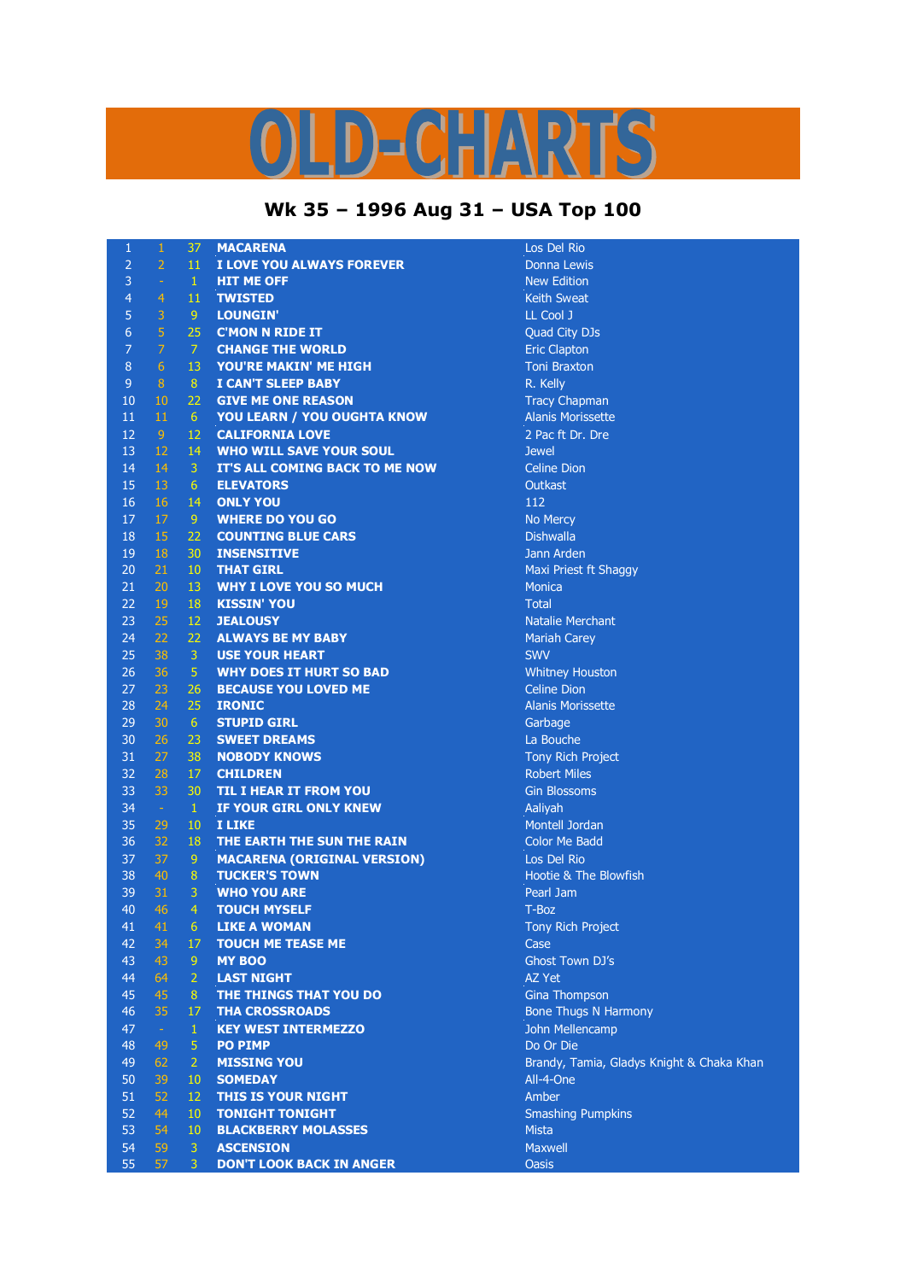## D-CHARTS L,

## **Wk 35 – 1996 Aug 31 – USA Top 100**

| 1               | $\mathbf{1}$   | 37              | <b>MACARENA</b>                    | Los Del Rio                               |
|-----------------|----------------|-----------------|------------------------------------|-------------------------------------------|
| $\overline{2}$  | $\overline{2}$ | 11              | I LOVE YOU ALWAYS FOREVER          | Donna Lewis                               |
| 3               | $\omega$       | $\mathbf{1}$    | <b>HIT ME OFF</b>                  | <b>New Edition</b>                        |
| $\overline{4}$  | $\overline{4}$ | 11              | <b>TWISTED</b>                     | <b>Keith Sweat</b>                        |
| 5               | 3              | 9               | <b>LOUNGIN'</b>                    | LL Cool J                                 |
| $6\phantom{1}6$ | 5              | 25              | <b>C'MON N RIDE IT</b>             | Quad City DJs                             |
| 7               | $\overline{7}$ | $\overline{7}$  | <b>CHANGE THE WORLD</b>            | <b>Eric Clapton</b>                       |
| 8               | 6              | 13              | YOU'RE MAKIN' ME HIGH              | <b>Toni Braxton</b>                       |
| 9               | 8              | 8               | <b>I CAN'T SLEEP BABY</b>          | R. Kelly                                  |
| 10              | 10             | 22              | <b>GIVE ME ONE REASON</b>          | <b>Tracy Chapman</b>                      |
| 11              | 11             | $6^{\circ}$     | <b>YOU LEARN / YOU OUGHTA KNOW</b> | <b>Alanis Morissette</b>                  |
| 12              | 9              | 12              | <b>CALIFORNIA LOVE</b>             | 2 Pac ft Dr. Dre                          |
| 13              | 12             | 14              | <b>WHO WILL SAVE YOUR SOUL</b>     | <b>Jewel</b>                              |
| 14              | 14             | 3               | IT'S ALL COMING BACK TO ME NOW     | <b>Celine Dion</b>                        |
| 15              | 13             | 6               | <b>ELEVATORS</b>                   | <b>Outkast</b>                            |
| 16              | 16             | 14              | <b>ONLY YOU</b>                    | 112                                       |
| 17              | 17             | -9              | <b>WHERE DO YOU GO</b>             | No Mercy                                  |
| 18              | 15             | 22              | <b>COUNTING BLUE CARS</b>          | <b>Dishwalla</b>                          |
| 19              | 18             | 30              | <b>INSENSITIVE</b>                 | Jann Arden                                |
| 20              | 21             | 10 <sup>°</sup> | <b>THAT GIRL</b>                   | Maxi Priest ft Shaggy                     |
| 21              | 20             | 13              | <b>WHY I LOVE YOU SO MUCH</b>      | <b>Monica</b>                             |
| 22              | 19             | 18              | <b>KISSIN' YOU</b>                 | <b>Total</b>                              |
| 23              | 25             | 12              | <b>JEALOUSY</b>                    | <b>Natalie Merchant</b>                   |
| 24              | 22             | 22              | <b>ALWAYS BE MY BABY</b>           | <b>Mariah Carey</b>                       |
| 25              | 38             | $\overline{3}$  | <b>USE YOUR HEART</b>              | <b>SWV</b>                                |
| 26              | 36             | $\sqrt{5}$      | <b>WHY DOES IT HURT SO BAD</b>     | <b>Whitney Houston</b>                    |
| 27              | 23             | 26              | <b>BECAUSE YOU LOVED ME</b>        | <b>Celine Dion</b>                        |
| 28              | 24             | 25              | <b>IRONIC</b>                      | <b>Alanis Morissette</b>                  |
| 29              | 30             | 6               | <b>STUPID GIRL</b>                 | Garbage                                   |
| 30              | 26             | 23              | <b>SWEET DREAMS</b>                | La Bouche                                 |
| 31              | 27             | 38              | <b>NOBODY KNOWS</b>                | Tony Rich Project                         |
| 32              | 28             | 17              | <b>CHILDREN</b>                    | <b>Robert Miles</b>                       |
| 33              | 33             | 30              | TIL I HEAR IT FROM YOU             | <b>Gin Blossoms</b>                       |
| 34              | $\sim$         | $\mathbf{1}$    | IF YOUR GIRL ONLY KNEW             | Aaliyah                                   |
| 35              | 29             | 10              | <b>I LIKE</b>                      | Montell Jordan                            |
| 36              | 32             | 18              | THE EARTH THE SUN THE RAIN         | <b>Color Me Badd</b>                      |
| 37              | 37             | 9               | <b>MACARENA (ORIGINAL VERSION)</b> | Los Del Rio                               |
| 38              | 40             | 8               | <b>TUCKER'S TOWN</b>               | Hootie & The Blowfish                     |
| 39              | 31             | 3               | <b>WHO YOU ARE</b>                 | Pearl Jam                                 |
| 40              | 46             | $\overline{4}$  | <b>TOUCH MYSELF</b>                | T-Boz                                     |
| 41              | 41             | 6               | <b>LIKE A WOMAN</b>                | Tony Rich Project                         |
| 42              | 34             | 17              | <b>TOUCH ME TEASE ME</b>           | Case                                      |
| 43              | 43             | 9               | <b>MY BOO</b>                      | Ghost Town DJ's                           |
| 44              | 64             | $\overline{2}$  | <b>LAST NIGHT</b>                  | <b>AZ Yet</b>                             |
| 45              | 45             | 8               | THE THINGS THAT YOU DO             | <b>Gina Thompson</b>                      |
| 46              | 35             | 17              | <b>THA CROSSROADS</b>              | <b>Bone Thugs N Harmony</b>               |
| 47              | $\sim$         | $\mathbf{1}$    | <b>KEY WEST INTERMEZZO</b>         | John Mellencamp                           |
| 48              | 49             | $\overline{5}$  | <b>PO PIMP</b>                     | Do Or Die                                 |
| 49              | 62             | 2               | <b>MISSING YOU</b>                 | Brandy, Tamia, Gladys Knight & Chaka Khan |
| 50              | 39             | 10              | <b>SOMEDAY</b>                     | All-4-One                                 |
| 51              | 52             | 12              | <b>THIS IS YOUR NIGHT</b>          | Amber                                     |
| 52              | 44             | 10              | <b>TONIGHT TONIGHT</b>             | <b>Smashing Pumpkins</b>                  |
| 53              | 54             | 10              | <b>BLACKBERRY MOLASSES</b>         | <b>Mista</b>                              |
| 54              | 59             | $\overline{3}$  | <b>ASCENSION</b>                   | Maxwell                                   |
| 55              | 57             | $\mathbf{3}$    | <b>DON'T LOOK BACK IN ANGER</b>    | <b>Oasis</b>                              |